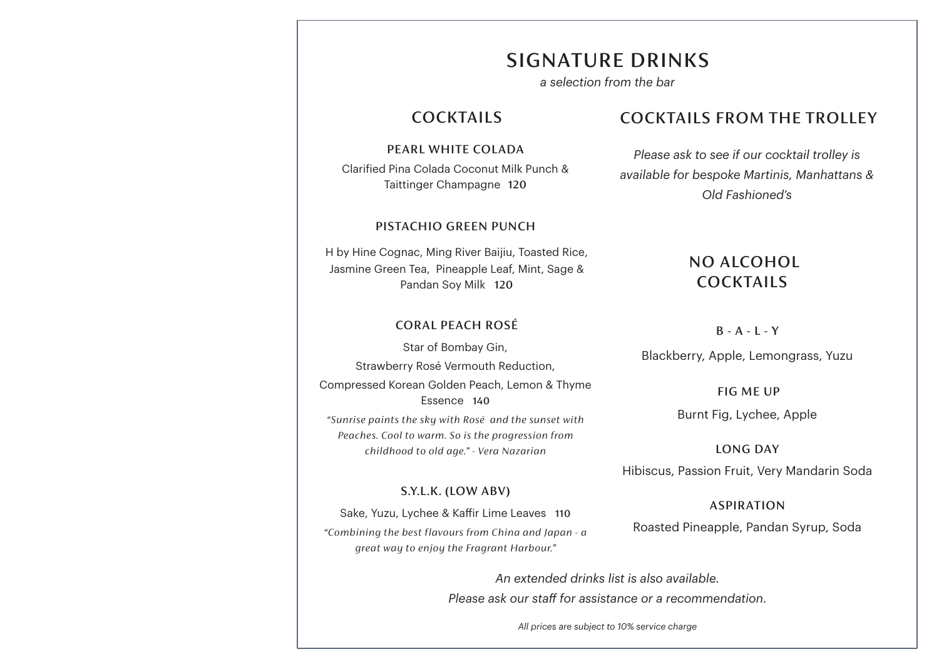## SIGNATURE DRINKS

*a selection from the bar*

## COCKTAILS

PEARL WHITE COLADA Clarified Pina Colada Coconut Milk Punch & Taittinger Champagne 120

#### PISTACHIO GREEN PUNCH

H by Hine Cognac, Ming River Baijiu, Toasted Rice, Jasmine Green Tea, Pineapple Leaf, Mint, Sage & Pandan Soy Milk 120

#### CORAL PEACH ROSÉ

Star of Bombay Gin, Strawberry Rosé Vermouth Reduction, Compressed Korean Golden Peach, Lemon & Thyme Essence 140 *"Sunrise paints the sky with Rosé and the sunset with Peaches. Cool to warm. So is the progression from childhood to old age." - Vera Nazarian*

#### S.Y.L.K. (LOW ABV)

Sake, Yuzu, Lychee & Kaffir Lime Leaves 110 *"Combining the best flavours from China and Japan - a great way to enjoy the Fragrant Harbour."*

## COCKTAILS FROM THE TROLLEY

*Please ask to see if our cocktail trolley is available for bespoke Martinis, Manhattans & Old Fashioned's*

## NO ALCOHOL COCKTAILS

#### $B - A - L - Y$

Blackberry, Apple, Lemongrass, Yuzu

FIG ME UP

Burnt Fig, Lychee, Apple

LONG DAY

Hibiscus, Passion Fruit, Very Mandarin Soda

ASPIRATION Roasted Pineapple, Pandan Syrup, Soda

*An extended drinks list is also available. Please ask our staff for assistance or a recommendation.*

*All prices are subject to 10% service charge*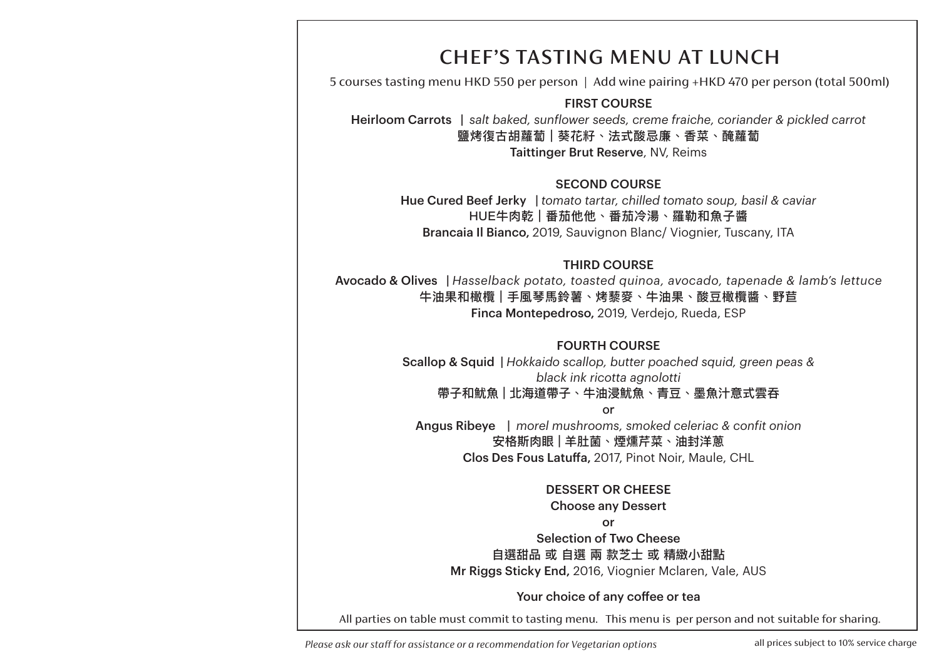# CHEF'S TASTING MENU AT LUNCH

5 courses tasting menu HKD 550 per person | Add wine pairing +HKD 470 per person (total 500ml)

FIRST COURSE

Heirloom Carrots | *salt baked, sunflower seeds, creme fraiche, coriander & pickled carrot* 鹽烤復古胡蘿蔔 | 葵花籽、法式酸忌廉、香菜、醃蘿蔔 Taittinger Brut Reserve, NV, Reims

SECOND COURSE Hue Cured Beef Jerky | *tomato tartar, chilled tomato soup, basil & caviar* HUE牛肉乾 | 番茄他他、番茄冷湯、羅勒和魚子醬 Brancaia Il Bianco, 2019, Sauvignon Blanc/ Viognier, Tuscany, ITA

THIRD COURSE

Avocado & Olives | *Hasselback potato, toasted quinoa, avocado, tapenade & lamb's lettuce* 牛油果和橄欖 | 手風琴馬鈴薯、烤藜麥、牛油果、酸豆橄欖醬、野苣 Finca Montepedroso, 2019, Verdejo, Rueda, ESP

### FOURTH COURSE

Scallop & Squid | *Hokkaido scallop, butter poached squid, green peas & black ink ricotta agnolotti*  帶子和魷魚 | 北海道帶子、牛油浸魷魚、青豆、墨魚汁意式雲吞

or

Angus Ribeye | *morel mushrooms, smoked celeriac & confit onion*  安格斯肉眼 | 羊肚菌、煙燻芹菜、油封洋蔥 Clos Des Fous Latuffa, 2017, Pinot Noir, Maule, CHL

#### DESSERT OR CHEESE

Choose any Dessert

or

Selection of Two Cheese 自選甜品 或 自選 兩 款芝士 或 精緻小甜點 Mr Riggs Sticky End, 2016, Viognier Mclaren, Vale, AUS

### Your choice of any coffee or tea

All parties on table must commit to tasting menu. This menu is per person and not suitable for sharing.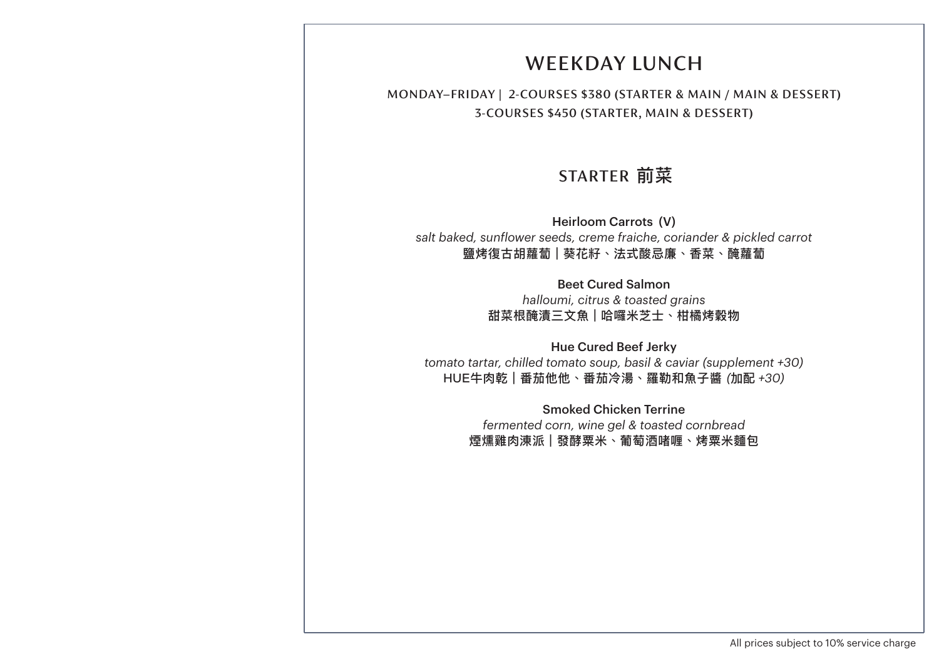# WEEKDAY LUNCH

MONDAY–FRIDAY | 2-COURSES \$380 (STARTER & MAIN / MAIN & DESSERT) 3-COURSES \$450 (STARTER, MAIN & DESSERT)

# STARTER 前菜

Heirloom Carrots (V) *salt baked, sunflower seeds, creme fraiche, coriander & pickled carrot* 鹽烤復古胡蘿蔔 | 葵花籽、法式酸忌廉、香菜、醃蘿蔔

> Beet Cured Salmon *halloumi, citrus & toasted grains* 甜菜根醃漬三文魚 | 哈囉米芝士、柑橘烤穀物

Hue Cured Beef Jerky *tomato tartar, chilled tomato soup, basil & caviar (supplement +30)* HUE牛肉乾 | 番茄他他、番茄冷湯、羅勒和魚子醬 *(*加配 *+30)*

> Smoked Chicken Terrine *fermented corn, wine gel & toasted cornbread*  煙燻雞肉涷派 | 發酵粟米、葡萄酒啫喱、烤粟米麵包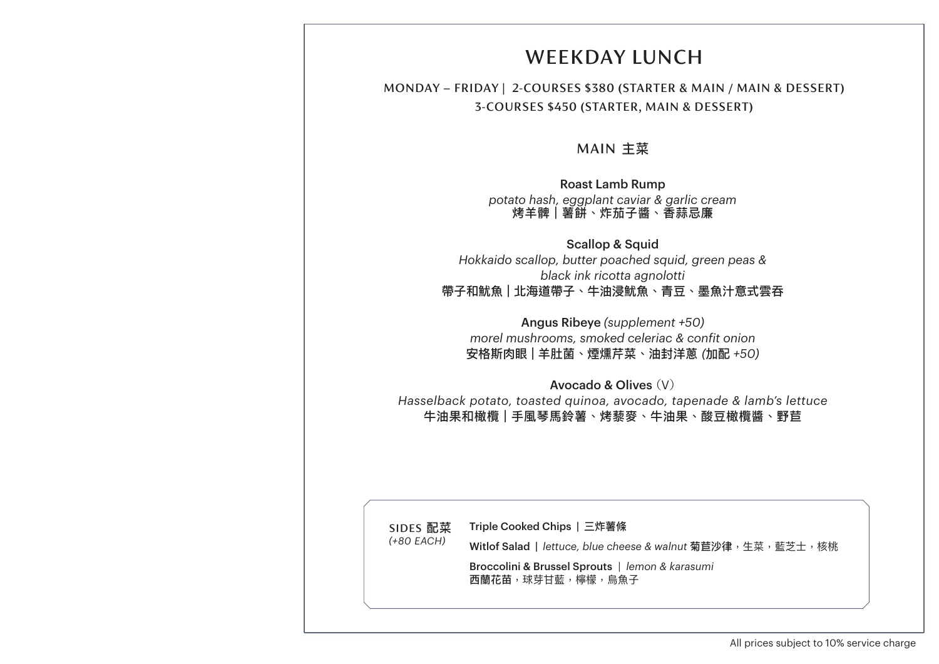# WEEKDAY LUNCH

### MONDAY – FRIDAY | 2-COURSES \$380 (STARTER & MAIN / MAIN & DESSERT) 3-COURSES \$450 (STARTER, MAIN & DESSERT)

### MAIN 主菜

Roast Lamb Rump *potato hash, eggplant caviar & garlic cream* 烤羊髀 | 薯餅、炸茄子醬、香蒜忌廉

Scallop & Squid *Hokkaido scallop, butter poached squid, green peas & black ink ricotta agnolotti*  帶子和魷魚 | 北海道帶子、牛油浸魷魚、青豆、墨魚汁意式雲吞

Angus Ribeye *(supplement +50) morel mushrooms, smoked celeriac & confit onion*  安格斯肉眼 | 羊肚菌、煙燻芹菜、油封洋蔥 *(*加配 *+50)*

Avocado & Olives (V) *Hasselback potato, toasted quinoa, avocado, tapenade & lamb's lettuce* 牛油果和橄欖 | 手風琴馬鈴薯、烤藜麥、牛油果、酸豆橄欖醬、野苣

SIDES 配菜 *(+80 EACH)* Triple Cooked Chips | 三炸薯條 Witlof Salad | *lettuce, blue cheese & walnut* 菊苣沙律,生菜, 藍芝士, 核桃 Broccolini & Brussel Sprouts *| lemon & karasumi* 西蘭花苗,球芽甘藍,檸檬,烏魚子